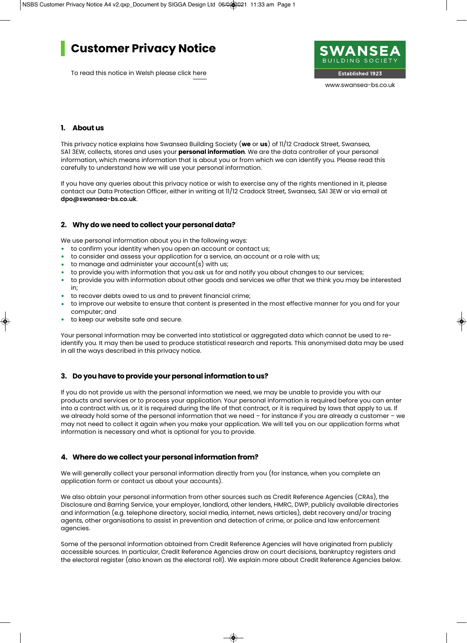# **Customer Privacy Notice**

To read this notice in Welsh please click here



# **1. About us**

This privacy notice explains how Swansea Building Society (**we** or **us**) of 11/12 Cradock Street, Swansea, SA1 3EW, collects, stores and uses your **personal information**. We are the data controller of your personal information, which means information that is about you or from which we can identify you. Please read this carefully to understand how we will use your personal information.

If you have any queries about this privacy notice or wish to exercise any of the rights mentioned in it, please contact our Data Protection Officer, either in writing at 11/12 Cradock Street, Swansea, SA1 3EW or via email at **dpo@swansea-bs.co.uk**.

# **2. Why do we need to collect your personal data?**

We use personal information about you in the following ways:

- to confirm your identity when you open an account or contact us;
- to consider and assess your application for a service, an account or a role with us;
- to manage and administer your account(s) with us;
- to provide you with information that you ask us for and notify you about changes to our services;
- to provide you with information about other goods and services we offer that we think you may be interested in;
- to recover debts owed to us and to prevent financial crime;
- to improve our website to ensure that content is presented in the most effective manner for you and for your computer; and
- to keep our website safe and secure.

Your personal information may be converted into statistical or aggregated data which cannot be used to reidentify you. It may then be used to produce statistical research and reports. This anonymised data may be used in all the ways described in this privacy notice.

# **3. Do you have to provide your personal information to us?**

If you do not provide us with the personal information we need, we may be unable to provide you with our products and services or to process your application. Your personal information is required before you can enter into a contract with us, or it is required during the life of that contract, or it is required by laws that apply to us. If we already hold some of the personal information that we need – for instance if you are already a customer – we may not need to collect it again when you make your application. We will tell you on our application forms what information is necessary and what is optional for you to provide.

#### **4. Where do we collect your personal information from?**

We will generally collect your personal information directly from you (for instance, when you complete an application form or contact us about your accounts).

We also obtain your personal information from other sources such as Credit Reference Agencies (CRAs), the Disclosure and Barring Service, your employer, landlord, other lenders, HMRC, DWP, publicly available directories and information (e.g. telephone directory, social media, internet, news articles), debt recovery and/or tracing agents, other organisations to assist in prevention and detection of crime, or police and law enforcement agencies.

Some of the personal information obtained from Credit Reference Agencies will have originated from publicly accessible sources. In particular, Credit Reference Agencies draw on court decisions, bankruptcy registers and the electoral register (also known as the electoral roll). We explain more about Credit Reference Agencies below.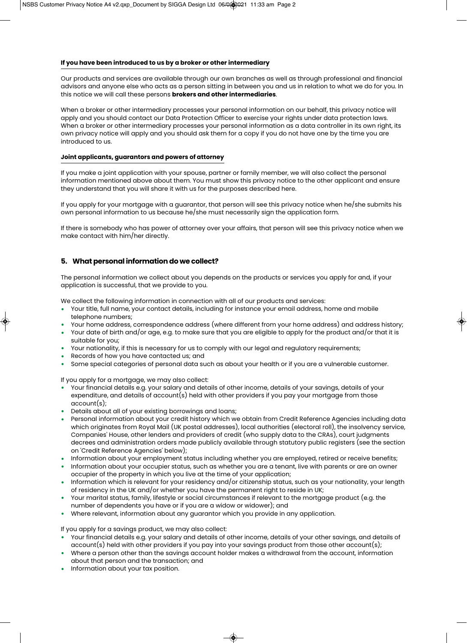#### **If you have been introduced to us by a broker or other intermediary**

Our products and services are available through our own branches as well as through professional and financial advisors and anyone else who acts as a person sitting in between you and us in relation to what we do for you. In this notice we will call these persons **brokers and other intermediaries**.

When a broker or other intermediary processes your personal information on our behalf, this privacy notice will apply and you should contact our Data Protection Officer to exercise your rights under data protection laws. When a broker or other intermediary processes your personal information as a data controller in its own right, its own privacy notice will apply and you should ask them for a copy if you do not have one by the time you are introduced to us.

#### **Joint applicants, guarantors and powers of attorney**

If you make a joint application with your spouse, partner or family member, we will also collect the personal information mentioned above about them. You must show this privacy notice to the other applicant and ensure they understand that you will share it with us for the purposes described here.

If you apply for your mortgage with a guarantor, that person will see this privacy notice when he/she submits his own personal information to us because he/she must necessarily sign the application form.

If there is somebody who has power of attorney over your affairs, that person will see this privacy notice when we make contact with him/her directly.

# **5. What personal information do we collect?**

The personal information we collect about you depends on the products or services you apply for and, if your application is successful, that we provide to you.

We collect the following information in connection with all of our products and services:

- Your title, full name, your contact details, including for instance your email address, home and mobile telephone numbers;
- Your home address, correspondence address (where different from your home address) and address history;
- Your date of birth and/or age, e.g. to make sure that you are eligible to apply for the product and/or that it is suitable for you;
- Your nationality, if this is necessary for us to comply with our legal and regulatory requirements;
- Records of how you have contacted us; and
- Some special categories of personal data such as about your health or if you are a vulnerable customer.

If you apply for a mortgage, we may also collect:

- Your financial details e.g. your salary and details of other income, details of your savings, details of your expenditure, and details of account(s) held with other providers if you pay your mortgage from those account(s);
- Details about all of your existing borrowings and loans;
- Personal information about your credit history which we obtain from Credit Reference Agencies including data which originates from Royal Mail (UK postal addresses), local authorities (electoral roll), the insolvency service, Companies' House, other lenders and providers of credit (who supply data to the CRAs), court judgments decrees and administration orders made publicly available through statutory public registers (see the section on 'Credit Reference Agencies' below);
- Information about your employment status including whether you are employed, retired or receive benefits;
- Information about your occupier status, such as whether you are a tenant, live with parents or are an owner occupier of the property in which you live at the time of your application;
- Information which is relevant for your residency and/or citizenship status, such as your nationality, your length of residency in the UK and/or whether you have the permanent right to reside in UK;
- Your marital status, family, lifestyle or social circumstances if relevant to the mortgage product (e.g. the number of dependents you have or if you are a widow or widower); and
- Where relevant, information about any guarantor which you provide in any application.

If you apply for a savings product, we may also collect:

- Your financial details e.g. your salary and details of other income, details of your other savings, and details of account(s) held with other providers if you pay into your savings product from those other account(s);
- Where a person other than the savings account holder makes a withdrawal from the account, information about that person and the transaction; and
- Information about your tax position.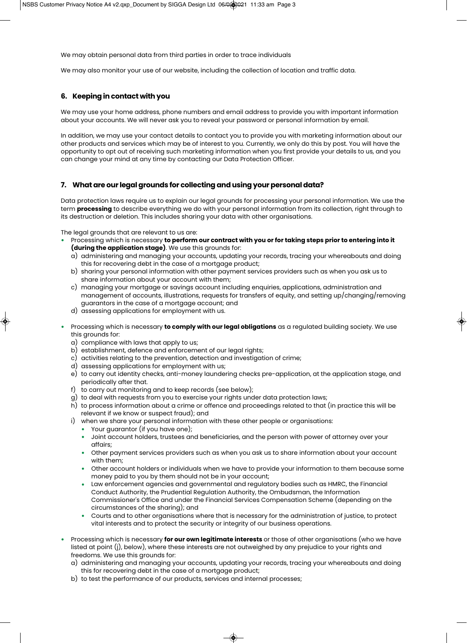We may obtain personal data from third parties in order to trace individuals

We may also monitor your use of our website, including the collection of location and traffic data.

# **6. Keeping in contact with you**

We may use your home address, phone numbers and email address to provide you with important information about your accounts. We will never ask you to reveal your password or personal information by email.

In addition, we may use your contact details to contact you to provide you with marketing information about our other products and services which may be of interest to you. Currently, we only do this by post. You will have the opportunity to opt out of receiving such marketing information when you first provide your details to us, and you can change your mind at any time by contacting our Data Protection Officer.

# **7. What are our legal grounds for collecting and using your personal data?**

Data protection laws require us to explain our legal grounds for processing your personal information. We use the term **processing** to describe everything we do with your personal information from its collection, right through to its destruction or deletion. This includes sharing your data with other organisations.

The legal grounds that are relevant to us are:

- Processing which is necessary **to perform our contract with you or for taking steps prior to entering into it (during the application stage)**. We use this grounds for:
	- a) administering and managing your accounts, updating your records, tracing your whereabouts and doing this for recovering debt in the case of a mortgage product;
	- b) sharing your personal information with other payment services providers such as when you ask us to share information about your account with them;
	- c) managing your mortgage or savings account including enquiries, applications, administration and management of accounts, illustrations, requests for transfers of equity, and setting up/changing/removing guarantors in the case of a mortgage account; and
	- d) assessing applications for employment with us.
- Processing which is necessary **to comply with our legal obligations** as a regulated building society. We use this grounds for:
	- a) compliance with laws that apply to us;
	- b) establishment, defence and enforcement of our legal rights;
	- c) activities relating to the prevention, detection and investigation of crime;
	- d) assessing applications for employment with us;
	- e) to carry out identity checks, anti-money laundering checks pre-application, at the application stage, and periodically after that.
	- f) to carry out monitoring and to keep records (see below);
	- g) to deal with requests from you to exercise your rights under data protection laws;
	- h) to process information about a crime or offence and proceedings related to that (in practice this will be relevant if we know or suspect fraud); and
	- i) when we share your personal information with these other people or organisations:
		- Your guarantor (if you have one);
			- Joint account holders, trustees and beneficiaries, and the person with power of attorney over your affairs;
			- Other payment services providers such as when you ask us to share information about your account with them;
			- Other account holders or individuals when we have to provide your information to them because some money paid to you by them should not be in your account;
			- Law enforcement agencies and governmental and regulatory bodies such as HMRC, the Financial Conduct Authority, the Prudential Regulation Authority, the Ombudsman, the Information Commissioner's Office and under the Financial Services Compensation Scheme (depending on the circumstances of the sharing); and
			- Courts and to other organisations where that is necessary for the administration of justice, to protect vital interests and to protect the security or integrity of our business operations.
- Processing which is necessary **for our own legitimate interests** or those of other organisations (who we have listed at point (j), below), where these interests are not outweighed by any prejudice to your rights and freedoms. We use this grounds for:
	- a) administering and managing your accounts, updating your records, tracing your whereabouts and doing this for recovering debt in the case of a mortgage product;
	- b) to test the performance of our products, services and internal processes;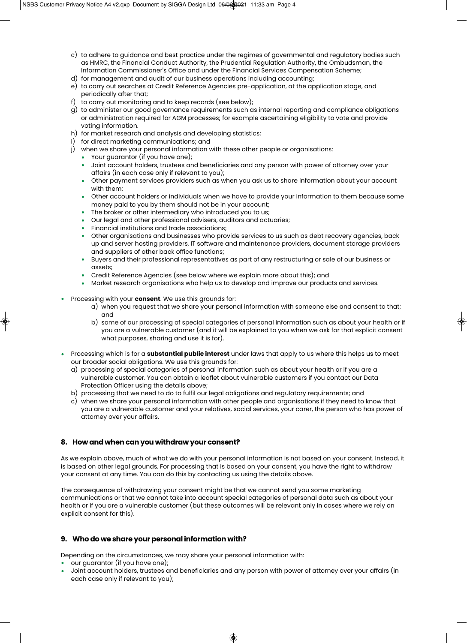- c) to adhere to guidance and best practice under the regimes of governmental and regulatory bodies such as HMRC, the Financial Conduct Authority, the Prudential Regulation Authority, the Ombudsman, the Information Commissioner's Office and under the Financial Services Compensation Scheme;
- d) for management and audit of our business operations including accounting;
- e) to carry out searches at Credit Reference Agencies pre-application, at the application stage, and periodically after that;
- f) to carry out monitoring and to keep records (see below);
- g) to administer our good governance requirements such as internal reporting and compliance obligations or administration required for AGM processes; for example ascertaining eligibility to vote and provide voting information.
- h) for market research and analysis and developing statistics;
- i) for direct marketing communications; and
- j) when we share your personal information with these other people or organisations:
	- Your guarantor (if you have one);
	- Joint account holders, trustees and beneficiaries and any person with power of attorney over your affairs (in each case only if relevant to you);
	- Other payment services providers such as when you ask us to share information about your account with them;
	- Other account holders or individuals when we have to provide your information to them because some money paid to you by them should not be in your account;
	- The broker or other intermediary who introduced you to us;
	- Our legal and other professional advisers, auditors and actuaries;
	- Financial institutions and trade associations;
	- Other organisations and businesses who provide services to us such as debt recovery agencies, back up and server hosting providers, IT software and maintenance providers, document storage providers and suppliers of other back office functions;
	- Buyers and their professional representatives as part of any restructuring or sale of our business or assets;
	- Credit Reference Agencies (see below where we explain more about this); and
	- Market research organisations who help us to develop and improve our products and services.
- Processing with your **consent**. We use this grounds for:
	- a) when you request that we share your personal information with someone else and consent to that; and
	- b) some of our processing of special categories of personal information such as about your health or if you are a vulnerable customer (and it will be explained to you when we ask for that explicit consent what purposes, sharing and use it is for).
- Processing which is for a **substantial public interest** under laws that apply to us where this helps us to meet our broader social obligations. We use this grounds for:
	- a) processing of special categories of personal information such as about your health or if you are a vulnerable customer. You can obtain a leaflet about vulnerable customers if you contact our Data Protection Officer using the details above;
	- b) processing that we need to do to fulfil our legal obligations and regulatory requirements; and
	- c) when we share your personal information with other people and organisations if they need to know that you are a vulnerable customer and your relatives, social services, your carer, the person who has power of attorney over your affairs.

# **8. How and when can you withdraw your consent?**

As we explain above, much of what we do with your personal information is not based on your consent. Instead, it is based on other legal grounds. For processing that is based on your consent, you have the right to withdraw your consent at any time. You can do this by contacting us using the details above.

The consequence of withdrawing your consent might be that we cannot send you some marketing communications or that we cannot take into account special categories of personal data such as about your health or if you are a vulnerable customer (but these outcomes will be relevant only in cases where we rely on explicit consent for this).

# **9. Who do we share your personal information with?**

Depending on the circumstances, we may share your personal information with:

- our guarantor (if you have one);
- Joint account holders, trustees and beneficiaries and any person with power of attorney over your affairs (in each case only if relevant to you);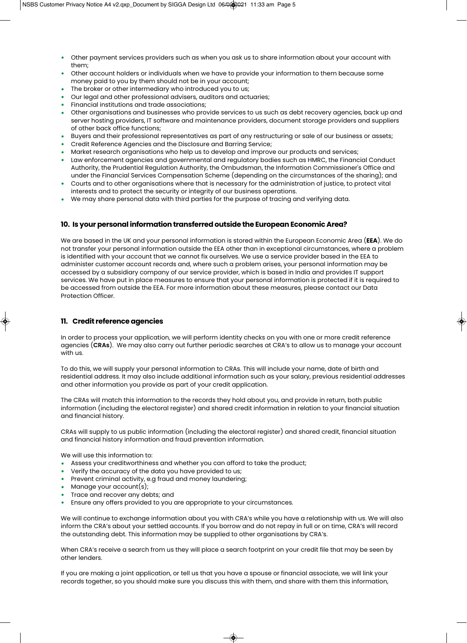- Other payment services providers such as when you ask us to share information about your account with them;
- Other account holders or individuals when we have to provide your information to them because some money paid to you by them should not be in your account;
- The broker or other intermediary who introduced you to us;
- Our legal and other professional advisers, auditors and actuaries;
- Financial institutions and trade associations;
- Other organisations and businesses who provide services to us such as debt recovery agencies, back up and server hosting providers, IT software and maintenance providers, document storage providers and suppliers of other back office functions;
- Buyers and their professional representatives as part of any restructuring or sale of our business or assets;
- Credit Reference Agencies and the Disclosure and Barring Service;
- Market research organisations who help us to develop and improve our products and services;
- Law enforcement agencies and governmental and regulatory bodies such as HMRC, the Financial Conduct Authority, the Prudential Regulation Authority, the Ombudsman, the Information Commissioner's Office and under the Financial Services Compensation Scheme (depending on the circumstances of the sharing); and
- Courts and to other organisations where that is necessary for the administration of justice, to protect vital interests and to protect the security or integrity of our business operations.
- We may share personal data with third parties for the purpose of tracing and verifying data.

# **10. Is your personal information transferred outside the European Economic Area?**

We are based in the UK and your personal information is stored within the European Economic Area (**EEA**). We do not transfer your personal information outside the EEA other than in exceptional circumstances, where a problem is identified with your account that we cannot fix ourselves. We use a service provider based in the EEA to administer customer account records and, where such a problem arises, your personal information may be accessed by a subsidiary company of our service provider, which is based in India and provides IT support services. We have put in place measures to ensure that your personal information is protected if it is required to be accessed from outside the EEA. For more information about these measures, please contact our Data Protection Officer.

# **11. Credit reference agencies**

In order to process your application, we will perform identity checks on you with one or more credit reference agencies (**CRAs**). We may also carry out further periodic searches at CRA's to allow us to manage your account with us.

To do this, we will supply your personal information to CRAs. This will include your name, date of birth and residential address. It may also include additional information such as your salary, previous residential addresses and other information you provide as part of your credit application.

The CRAs will match this information to the records they hold about you, and provide in return, both public information (including the electoral register) and shared credit information in relation to your financial situation and financial history.

CRAs will supply to us public information (including the electoral register) and shared credit, financial situation and financial history information and fraud prevention information.

We will use this information to:

- Assess your creditworthiness and whether you can afford to take the product;
- Verify the accuracy of the data you have provided to us;
- Prevent criminal activity, e.g fraud and money laundering;
- Manage your account(s);
- Trace and recover any debts; and
- Ensure any offers provided to you are appropriate to your circumstances.

We will continue to exchange information about you with CRA's while you have a relationship with us. We will also inform the CRA's about your settled accounts. If you borrow and do not repay in full or on time, CRA's will record the outstanding debt. This information may be supplied to other organisations by CRA's.

When CRA's receive a search from us they will place a search footprint on your credit file that may be seen by other lenders.

If you are making a joint application, or tell us that you have a spouse or financial associate, we will link your records together, so you should make sure you discuss this with them, and share with them this information,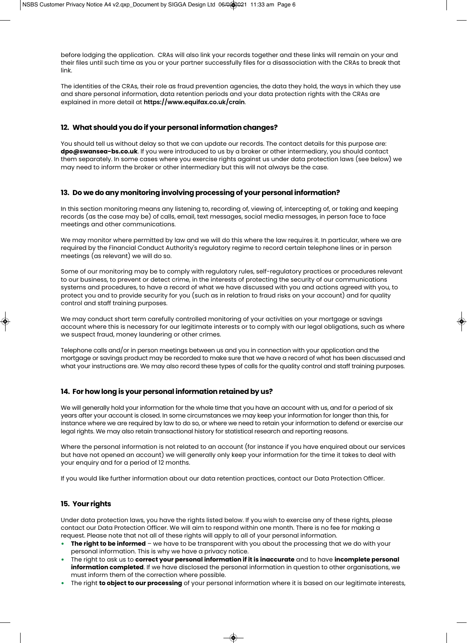before lodging the application. CRAs will also link your records together and these links will remain on your and their files until such time as you or your partner successfully files for a disassociation with the CRAs to break that link.

The identities of the CRAs, their role as fraud prevention agencies, the data they hold, the ways in which they use and share personal information, data retention periods and your data protection rights with the CRAs are explained in more detail at **https://www.equifax.co.uk/crain**.

# **12. What should you do if your personal information changes?**

You should tell us without delay so that we can update our records. The contact details for this purpose are: **dpo@swansea-bs.co.uk**. If you were introduced to us by a broker or other intermediary, you should contact them separately. In some cases where you exercise rights against us under data protection laws (see below) we may need to inform the broker or other intermediary but this will not always be the case.

# **13. Do we do any monitoring involving processing of your personal information?**

In this section monitoring means any listening to, recording of, viewing of, intercepting of, or taking and keeping records (as the case may be) of calls, email, text messages, social media messages, in person face to face meetings and other communications.

We may monitor where permitted by law and we will do this where the law requires it. In particular, where we are required by the Financial Conduct Authority's regulatory regime to record certain telephone lines or in person meetings (as relevant) we will do so.

Some of our monitoring may be to comply with regulatory rules, self-regulatory practices or procedures relevant to our business, to prevent or detect crime, in the interests of protecting the security of our communications systems and procedures, to have a record of what we have discussed with you and actions agreed with you, to protect you and to provide security for you (such as in relation to fraud risks on your account) and for quality control and staff training purposes.

We may conduct short term carefully controlled monitoring of your activities on your mortgage or savings account where this is necessary for our legitimate interests or to comply with our legal obligations, such as where we suspect fraud, money laundering or other crimes.

Telephone calls and/or in person meetings between us and you in connection with your application and the mortgage or savings product may be recorded to make sure that we have a record of what has been discussed and what your instructions are. We may also record these types of calls for the quality control and staff training purposes.

#### **14. For how long is your personal information retained by us?**

We will generally hold your information for the whole time that you have an account with us, and for a period of six years after your account is closed. In some circumstances we may keep your information for longer than this, for instance where we are required by law to do so, or where we need to retain your information to defend or exercise our legal rights. We may also retain transactional history for statistical research and reporting reasons.

Where the personal information is not related to an account (for instance if you have enquired about our services but have not opened an account) we will generally only keep your information for the time it takes to deal with your enquiry and for a period of 12 months.

If you would like further information about our data retention practices, contact our Data Protection Officer.

# **15. Your rights**

Under data protection laws, you have the rights listed below. If you wish to exercise any of these rights, please contact our Data Protection Officer. We will aim to respond within one month. There is no fee for making a request. Please note that not all of these rights will apply to all of your personal information.

- **The right to be informed** we have to be transparent with you about the processing that we do with your personal information. This is why we have a privacy notice.
- The right to ask us to **correct your personal information if it is inaccurate** and to have **incomplete personal information completed**. If we have disclosed the personal information in question to other organisations, we must inform them of the correction where possible.
- The right **to object to our processing** of your personal information where it is based on our legitimate interests,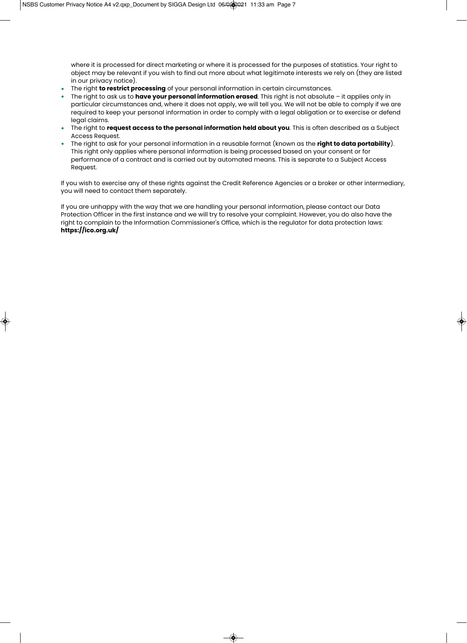where it is processed for direct marketing or where it is processed for the purposes of statistics. Your right to object may be relevant if you wish to find out more about what legitimate interests we rely on (they are listed in our privacy notice).

- The right **to restrict processing** of your personal information in certain circumstances.
- The right to ask us to **have your personal information erased**. This right is not absolute it applies only in particular circumstances and, where it does not apply, we will tell you. We will not be able to comply if we are required to keep your personal information in order to comply with a legal obligation or to exercise or defend legal claims.
- The right to **request access to the personal information held about you**. This is often described as a Subject Access Request.
- The right to ask for your personal information in a reusable format (known as the **right to data portability**). This right only applies where personal information is being processed based on your consent or for performance of a contract and is carried out by automated means. This is separate to a Subject Access Request.

If you wish to exercise any of these rights against the Credit Reference Agencies or a broker or other intermediary, you will need to contact them separately.

If you are unhappy with the way that we are handling your personal information, please contact our Data Protection Officer in the first instance and we will try to resolve your complaint. However, you do also have the right to complain to the Information Commissioner's Office, which is the regulator for data protection laws: **https://ico.org.uk/**